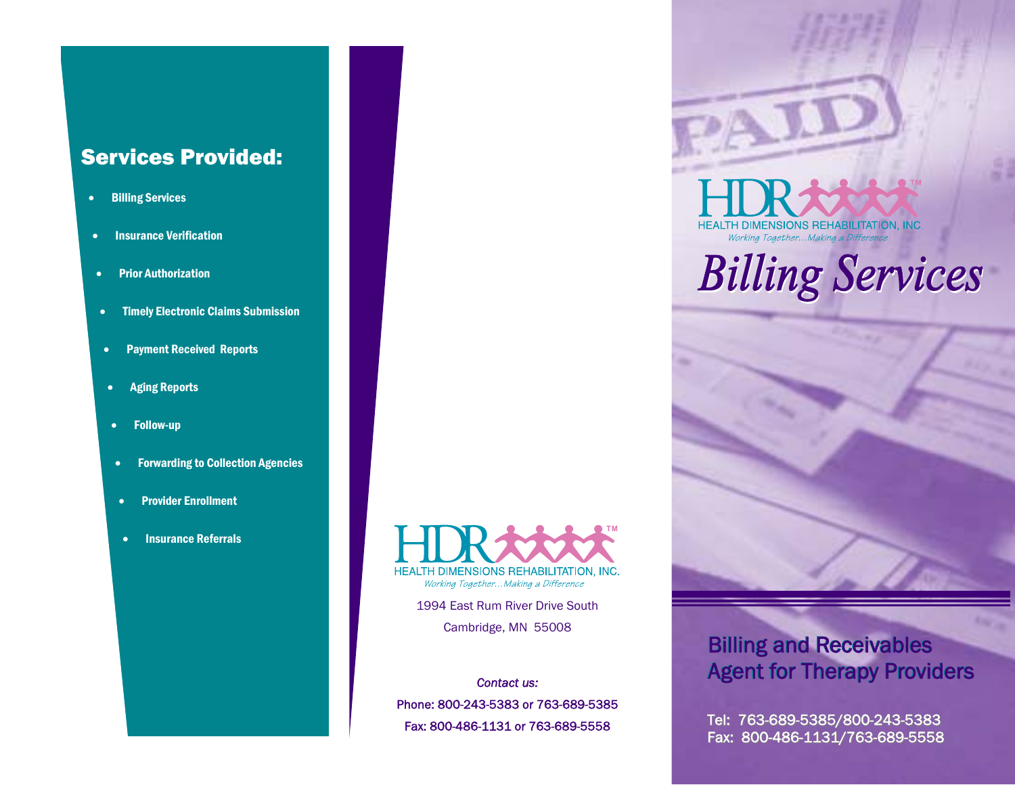# Services Provided:

- Billing Services
- Insurance Verification
- Prior Authorization
- Timely Electronic Claims Submission
- Payment Received Reports
- Aging Reports
- Follow-up
- Forwarding to Collection Agencies
- Provider Enrollment
- Insurance Referrals

HEALTH DIMENSIONS REHABILITATION, INC. Working Together... Making a Difference

> 1994 East Rum River Drive South Cambridge, MN 55008

*Contact us:* Phone: 800-243-5383 or 763-689-5385 Fax: 800-486-1131 or 763-689-5558

**HEALTH DIMENSIONS REHABILITATION, INC.** Working Together... Making a Difference

# **Billing Services**



# Billing and Receivables Billing and Receivables Agent for Therapy Providers Agent for Therapy Providers

Tel: 763-689-5385/800-243-5383 Fax: 800-486-1131/763-689-5558